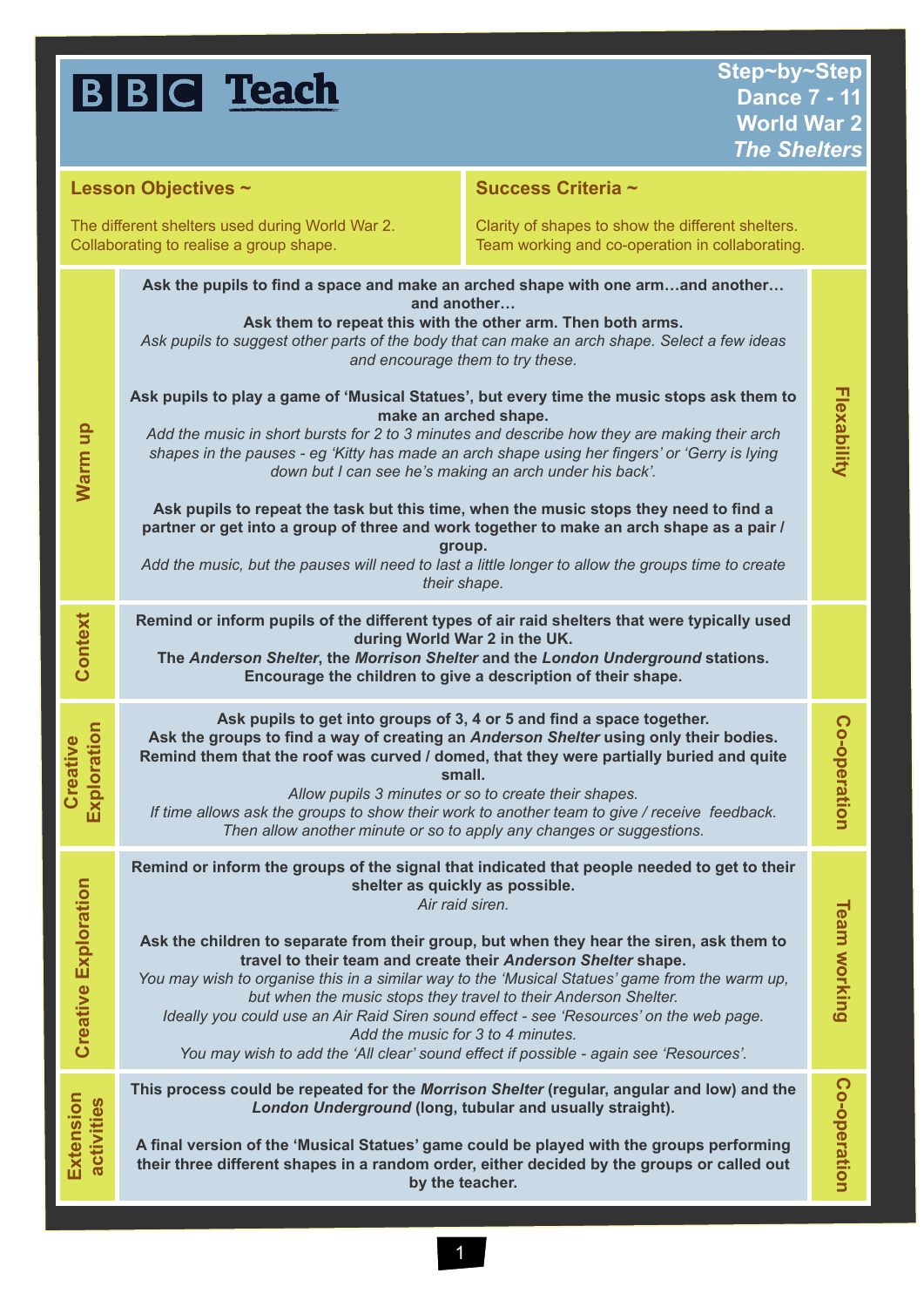## **BBC** Teach

| <b>Lesson Objectives ~</b>                                                                 |                                                                                                                                                                                                                                                                                                                                                                                                                                                                                                                                                                                                                                                                                                              | Success Criteria ~                                                                                   |                     |
|--------------------------------------------------------------------------------------------|--------------------------------------------------------------------------------------------------------------------------------------------------------------------------------------------------------------------------------------------------------------------------------------------------------------------------------------------------------------------------------------------------------------------------------------------------------------------------------------------------------------------------------------------------------------------------------------------------------------------------------------------------------------------------------------------------------------|------------------------------------------------------------------------------------------------------|---------------------|
| The different shelters used during World War 2.<br>Collaborating to realise a group shape. |                                                                                                                                                                                                                                                                                                                                                                                                                                                                                                                                                                                                                                                                                                              | Clarity of shapes to show the different shelters.<br>Team working and co-operation in collaborating. |                     |
| Warm up                                                                                    | Ask the pupils to find a space and make an arched shape with one armand another<br>and another<br>Ask them to repeat this with the other arm. Then both arms.<br>Ask pupils to suggest other parts of the body that can make an arch shape. Select a few ideas<br>and encourage them to try these.                                                                                                                                                                                                                                                                                                                                                                                                           |                                                                                                      |                     |
|                                                                                            | Ask pupils to play a game of 'Musical Statues', but every time the music stops ask them to<br>make an arched shape.<br>Add the music in short bursts for 2 to 3 minutes and describe how they are making their arch<br>shapes in the pauses - eg 'Kitty has made an arch shape using her fingers' or 'Gerry is lying<br>down but I can see he's making an arch under his back'.                                                                                                                                                                                                                                                                                                                              |                                                                                                      | Flexability         |
|                                                                                            | Ask pupils to repeat the task but this time, when the music stops they need to find a<br>partner or get into a group of three and work together to make an arch shape as a pair /<br>group.<br>Add the music, but the pauses will need to last a little longer to allow the groups time to create<br>their shape.                                                                                                                                                                                                                                                                                                                                                                                            |                                                                                                      |                     |
| Context                                                                                    | Remind or inform pupils of the different types of air raid shelters that were typically used<br>during World War 2 in the UK.<br>The Anderson Shelter, the Morrison Shelter and the London Underground stations.<br>Encourage the children to give a description of their shape.                                                                                                                                                                                                                                                                                                                                                                                                                             |                                                                                                      |                     |
| Exploration<br>Creative                                                                    | Ask pupils to get into groups of 3, 4 or 5 and find a space together.<br>Ask the groups to find a way of creating an Anderson Shelter using only their bodies.<br>Remind them that the roof was curved / domed, that they were partially buried and quite<br>small.<br>Allow pupils 3 minutes or so to create their shapes.<br>If time allows ask the groups to show their work to another team to give / receive feedback.<br>Then allow another minute or so to apply any changes or suggestions.                                                                                                                                                                                                          |                                                                                                      | Co-operation        |
| <b>Creative Exploration</b>                                                                | Remind or inform the groups of the signal that indicated that people needed to get to their<br>shelter as quickly as possible.<br>Air raid siren.<br>Ask the children to separate from their group, but when they hear the siren, ask them to<br>travel to their team and create their Anderson Shelter shape.<br>You may wish to organise this in a similar way to the 'Musical Statues' game from the warm up,<br>but when the music stops they travel to their Anderson Shelter.<br>Ideally you could use an Air Raid Siren sound effect - see 'Resources' on the web page.<br>Add the music for 3 to 4 minutes.<br>You may wish to add the 'All clear' sound effect if possible - again see 'Resources'. |                                                                                                      | <b>Team working</b> |
| Extension<br>activities                                                                    | This process could be repeated for the Morrison Shelter (regular, angular and low) and the<br>London Underground (long, tubular and usually straight).<br>A final version of the 'Musical Statues' game could be played with the groups performing<br>their three different shapes in a random order, either decided by the groups or called out<br>by the teacher.                                                                                                                                                                                                                                                                                                                                          |                                                                                                      | Co-operation        |